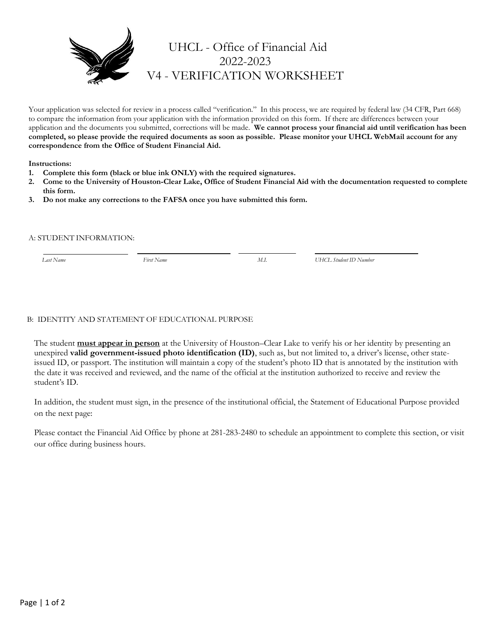

# UHCL - Office of Financial Aid 2022-2023 V4 - VERIFICATION WORKSHEET

Your application was selected for review in a process called "verification." In this process, we are required by federal law (34 CFR, Part 668) to compare the information from your application with the information provided on this form. If there are differences between your application and the documents you submitted, corrections will be made. **We cannot process your financial aid until verification has been completed, so please provide the required documents as soon as possible. Please monitor your UHCL WebMail account for any correspondence from the Office of Student Financial Aid.**

#### **Instructions:**

- **1. Complete this form (black or blue ink ONLY) with the required signatures.**
- **2. Come to the University of Houston-Clear Lake, Office of Student Financial Aid with the documentation requested to complete this form.**
- **3. Do not make any corrections to the FAFSA once you have submitted this form.**

#### A: STUDENT INFORMATION:

 *Last Name First Name M.I. UHCL Student ID Number*

### B: IDENTITY AND STATEMENT OF EDUCATIONAL PURPOSE

The student **must appear in person** at the University of Houston–Clear Lake to verify his or her identity by presenting an unexpired **valid government-issued photo identification (ID)**, such as, but not limited to, a driver's license, other stateissued ID, or passport. The institution will maintain a copy of the student's photo ID that is annotated by the institution with the date it was received and reviewed, and the name of the official at the institution authorized to receive and review the student's ID.

In addition, the student must sign, in the presence of the institutional official, the Statement of Educational Purpose provided on the next page:

Please contact the Financial Aid Office by phone at 281-283-2480 to schedule an appointment to complete this section, or visit our office during business hours.